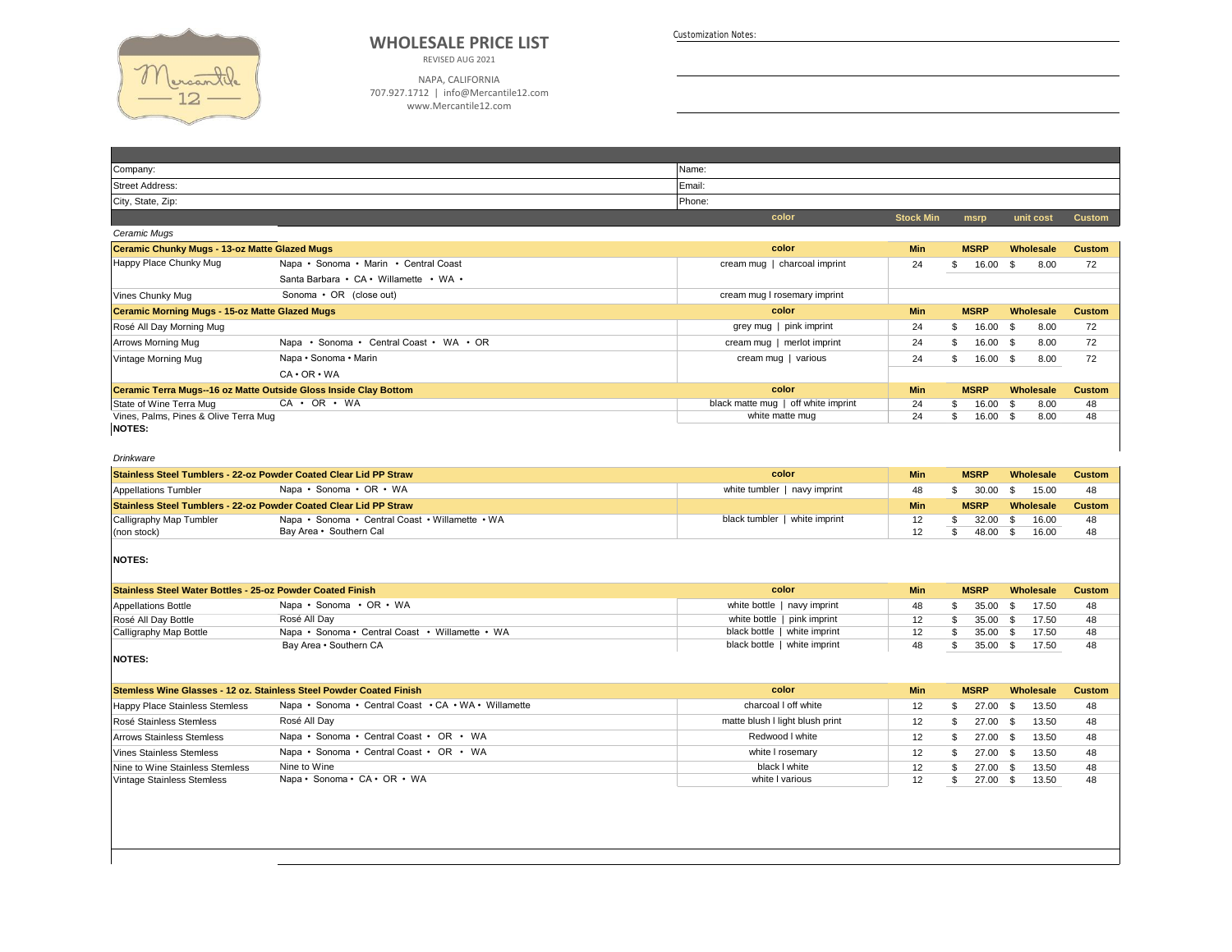

## **WHOLESALE PRICE LIST**

REVISED AUG 2021

NAPA, CALIFORNIA 707.927.1712 | info@Mercantile12.com www.Mercantile12.com

Customization Notes:

| Company:                                                         |                                         | Name:                               |                  |                 |              |               |
|------------------------------------------------------------------|-----------------------------------------|-------------------------------------|------------------|-----------------|--------------|---------------|
| Street Address:                                                  |                                         | Email:                              |                  |                 |              |               |
| City, State, Zip:                                                |                                         | Phone:                              |                  |                 |              |               |
|                                                                  |                                         | color                               | <b>Stock Min</b> | msrp            | unit cost    | <b>Custom</b> |
| Ceramic Mugs                                                     |                                         |                                     |                  |                 |              |               |
| <b>Ceramic Chunky Mugs - 13-oz Matte Glazed Mugs</b>             |                                         | color                               | <b>Min</b>       | <b>MSRP</b>     | Wholesale    | <b>Custom</b> |
| Happy Place Chunky Mug                                           | Napa • Sonoma • Marin • Central Coast   | cream mug   charcoal imprint        | 24               | 16.00<br>\$.    | 8.00<br>- \$ | 72            |
|                                                                  | Santa Barbara • CA • Willamette • WA •  |                                     |                  |                 |              |               |
| Vines Chunky Mug                                                 | Sonoma • OR (close out)                 | cream mug I rosemary imprint        |                  |                 |              |               |
| <b>Ceramic Morning Mugs - 15-oz Matte Glazed Mugs</b>            |                                         | color                               | <b>Min</b>       | <b>MSRP</b>     | Wholesale    | <b>Custom</b> |
| Rosé All Day Morning Mug                                         |                                         | grey mug   pink imprint             | 24               | 16.00<br>\$.    | 8.00<br>- \$ | 72            |
| Arrows Morning Mug                                               | Napa • Sonoma • Central Coast • WA • OR | cream mug   merlot imprint          | 24               | 16.00 \$<br>\$. | 8.00         | 72            |
| Vintage Morning Mug                                              | Napa • Sonoma • Marin                   | cream mug   various                 | 24               | 16.00 \$<br>\$. | 8.00         | 72            |
|                                                                  | $CA \cdot OR \cdot WA$                  |                                     |                  |                 |              |               |
| Ceramic Terra Mugs--16 oz Matte Outside Gloss Inside Clay Bottom |                                         | color                               | <b>Min</b>       | <b>MSRP</b>     | Wholesale    | <b>Custom</b> |
| State of Wine Terra Mug                                          | $CA \cdot OR \cdot WA$                  | black matte mug   off white imprint | 24               | 16.00           | 8.00<br>- 35 | 48            |
| Vines, Palms, Pines & Olive Terra Mug                            |                                         | white matte mug                     | 24               | 16.00           | 8.00<br>- \$ | 48            |
| <b>NOTES:</b>                                                    |                                         |                                     |                  |                 |              |               |

## *Drinkware*

| Stainless Steel Tumblers - 22-oz Powder Coated Clear Lid PP Straw |                                                 | color                         | Min | <b>MSRP</b> | Wholesale | <b>Custom</b> |
|-------------------------------------------------------------------|-------------------------------------------------|-------------------------------|-----|-------------|-----------|---------------|
| <b>Appellations Tumbler</b>                                       | Napa • Sonoma • OR • WA                         | white tumbler   navy imprint  |     | 30.00       | 15.00     |               |
| Stainless Steel Tumblers - 22-oz Powder Coated Clear Lid PP Straw |                                                 |                               | Min | <b>MSRP</b> | Wholesale | <b>Custom</b> |
| Calligraphy Map Tumbler                                           | Napa • Sonoma • Central Coast • Willamette • WA | black tumbler   white imprint |     | $32.00$ \$  | 16.00     |               |
| (non stock)                                                       | Bay Area • Southern Cal                         |                               |     | $48.00$ \$  | 16.00     |               |

## **NOTES:**

| Stainless Steel Water Bottles - 25-oz Powder Coated Finish |                                                 | color                        | <b>Min</b> | <b>MSRP</b> | Wholesale | Custom |
|------------------------------------------------------------|-------------------------------------------------|------------------------------|------------|-------------|-----------|--------|
| <b>Appellations Bottle</b>                                 | Napa • Sonoma • OR • WA                         | white bottle   navy imprint  | 48         | 35.00       | 17.50     | 48     |
| Rosé All Day Bottle                                        | Rosé All Dav                                    | white bottle   pink imprint  |            | 35.00       | 17.50     | 48     |
| Calligraphy Map Bottle                                     | Napa • Sonoma • Central Coast • Willamette • WA | black bottle   white imprint |            | 35.00       | 17.50     | 48     |
|                                                            | Bay Area • Southern CA                          | black bottle   white imprint |            | 35.00       | 17.50     | 48     |

**NOTES:**

| Stemless Wine Glasses - 12 oz. Stainless Steel Powder Coated Finish |                                                      | color                           | <b>Min</b> | <b>MSRP</b> |       | Wholesale | <b>Custom</b> |
|---------------------------------------------------------------------|------------------------------------------------------|---------------------------------|------------|-------------|-------|-----------|---------------|
| Happy Place Stainless Stemless                                      | Napa • Sonoma • Central Coast • CA • WA • Willamette | charcoal I off white            | 12         |             | 27.00 | 13.50     | 48            |
| Rosé Stainless Stemless                                             | Rosé All Day                                         | matte blush I light blush print |            |             | 27.00 | 13.50     | 48            |
| <b>Arrows Stainless Stemless</b>                                    | Napa • Sonoma • Central Coast • OR • WA              | Redwood I white                 |            |             | 27.00 | 13.50     | 48            |
| <b>Vines Stainless Stemless</b>                                     | Napa • Sonoma • Central Coast • OR • WA              | white I rosemary                | 12         |             | 27.00 | 13.50     | 48            |
| Nine to Wine Stainless Stemless                                     | Nine to Wine                                         | black I white                   |            |             | 27.00 | 13.50     | 48            |
| Vintage Stainless Stemless                                          | Napa • Sonoma • CA • OR • WA                         | white I various                 |            |             | 27.00 | 13.50     | 48            |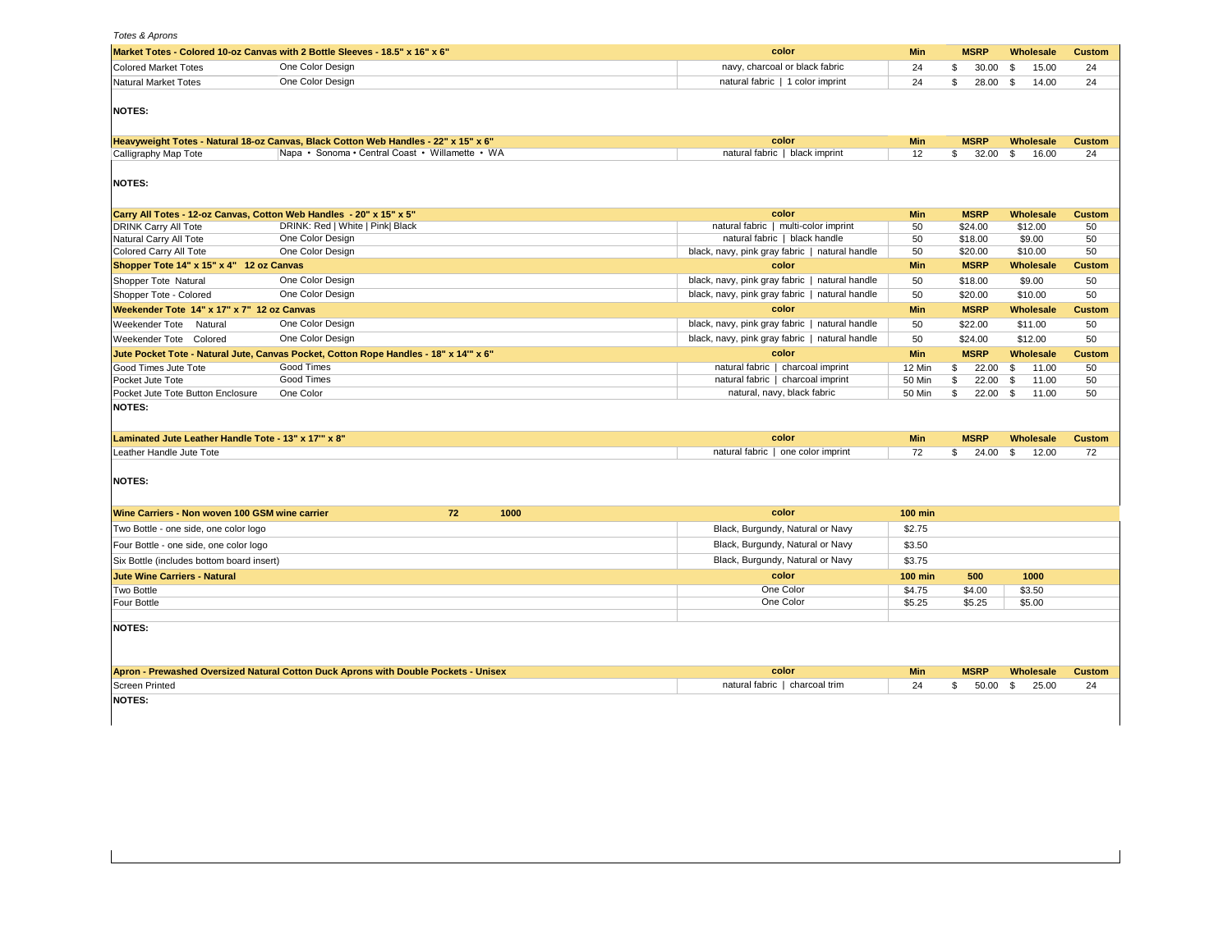*Totes & Aprons*

| navy, charcoal or black fabric<br><b>Colored Market Totes</b><br>One Color Design<br>24<br>30.00<br>15.00<br>\$<br>\$<br>One Color Design<br>natural fabric   1 color imprint<br><b>Natural Market Totes</b><br>24<br>\$<br>28.00 \$<br>14.00<br><b>NOTES:</b><br>color<br>Heavyweight Totes - Natural 18-oz Canvas, Black Cotton Web Handles - 22" x 15" x 6"<br><b>Min</b><br><b>MSRP</b><br>Wholesale<br>Napa • Sonoma • Central Coast • Willamette • WA<br>natural fabric   black imprint<br>$\mathbb{S}$<br>Calligraphy Map Tote<br>12<br>$32.00\quad$ \$<br>16.00<br><b>NOTES:</b><br>Carry All Totes - 12-oz Canvas, Cotton Web Handles - 20" x 15" x 5"<br>color<br><b>Min</b><br><b>MSRP</b><br>Wholesale<br><b>DRINK Carry All Tote</b><br>DRINK: Red   White   Pink  Black<br>natural fabric   multi-color imprint<br>50<br>\$24.00<br>\$12.00<br>One Color Design<br>natural fabric   black handle<br>50<br>\$9.00<br>Natural Carry All Tote<br>\$18.00<br>One Color Design<br>black, navy, pink gray fabric   natural handle<br>50<br>\$10.00<br>Colored Carry All Tote<br>\$20.00<br>color<br><b>MSRP</b><br>Shopper Tote 14" x 15" x 4" 12 oz Canvas<br><b>Min</b><br>Wholesale<br>One Color Design<br>black, navy, pink gray fabric   natural handle<br>\$18.00<br>\$9.00<br>Shopper Tote Natural<br>50<br>One Color Design<br>black, navy, pink gray fabric   natural handle<br>50<br>\$10.00<br>Shopper Tote - Colored<br>\$20.00<br><b>MSRP</b><br>Weekender Tote 14" x 17" x 7" 12 oz Canvas<br>color<br>Min<br>Wholesale<br>One Color Design<br>black, navy, pink gray fabric   natural handle<br>Weekender Tote Natural<br>50<br>\$22.00<br>\$11.00<br>black, navy, pink gray fabric   natural handle<br>Weekender Tote Colored<br>One Color Design<br>50<br>\$24.00<br>\$12.00<br>Jute Pocket Tote - Natural Jute, Canvas Pocket, Cotton Rope Handles - 18" x 14"" x 6"<br>color<br>Min<br><b>MSRP</b><br>Wholesale<br>Good Times<br>Good Times Jute Tote<br>natural fabric   charcoal imprint<br>12 Min<br>\$<br>22.00<br>\$<br>11.00<br>Good Times<br>natural fabric   charcoal imprint<br>\$<br>50 Min<br>22.00<br>\$<br>Pocket Jute Tote<br>11.00<br>\$<br>natural, navy, black fabric<br>$22.00$ \$<br>11.00<br>Pocket Jute Tote Button Enclosure<br>One Color<br>50 Min<br><b>NOTES:</b><br>Laminated Jute Leather Handle Tote - 13" x 17" x 8"<br>color<br><b>Min</b><br><b>MSRP</b><br>Wholesale<br>natural fabric   one color imprint<br>72<br>\$<br>24.00<br>$\mathbb{S}$<br>12.00<br>Leather Handle Jute Tote<br><b>NOTES:</b><br>Wine Carriers - Non woven 100 GSM wine carrier<br>72<br>1000<br>color<br><b>100 min</b><br>Black, Burgundy, Natural or Navy<br>Two Bottle - one side, one color logo<br>\$2.75<br>Black, Burgundy, Natural or Navy<br>\$3.50<br>Four Bottle - one side, one color logo<br>Black, Burgundy, Natural or Navy<br>\$3.75<br>Six Bottle (includes bottom board insert)<br>color<br><b>Jute Wine Carriers - Natural</b><br><b>100 min</b><br>500<br>1000<br>One Color<br>\$4.75<br>\$3.50<br>Two Bottle<br>\$4.00<br>One Color<br>Four Bottle<br>\$5.25<br>\$5.25<br>\$5.00<br><b>NOTES:</b><br>Apron - Prewashed Oversized Natural Cotton Duck Aprons with Double Pockets - Unisex<br>color<br><b>MSRP</b><br><b>Min</b><br>Wholesale | Market Totes - Colored 10-oz Canvas with 2 Bottle Sleeves - 18.5" x 16" x 6" | color | <b>Min</b> | <b>MSRP</b> | Wholesale | <b>Custom</b> |
|------------------------------------------------------------------------------------------------------------------------------------------------------------------------------------------------------------------------------------------------------------------------------------------------------------------------------------------------------------------------------------------------------------------------------------------------------------------------------------------------------------------------------------------------------------------------------------------------------------------------------------------------------------------------------------------------------------------------------------------------------------------------------------------------------------------------------------------------------------------------------------------------------------------------------------------------------------------------------------------------------------------------------------------------------------------------------------------------------------------------------------------------------------------------------------------------------------------------------------------------------------------------------------------------------------------------------------------------------------------------------------------------------------------------------------------------------------------------------------------------------------------------------------------------------------------------------------------------------------------------------------------------------------------------------------------------------------------------------------------------------------------------------------------------------------------------------------------------------------------------------------------------------------------------------------------------------------------------------------------------------------------------------------------------------------------------------------------------------------------------------------------------------------------------------------------------------------------------------------------------------------------------------------------------------------------------------------------------------------------------------------------------------------------------------------------------------------------------------------------------------------------------------------------------------------------------------------------------------------------------------------------------------------------------------------------------------------------------------------------------------------------------------------------------------------------------------------------------------------------------------------------------------------------------------------------------------------------------------------------------------------------------------------------------------------------------------------------------------------------------------------------------------------------------------------------------------------------------------------------------------------------------------------------------------|------------------------------------------------------------------------------|-------|------------|-------------|-----------|---------------|
|                                                                                                                                                                                                                                                                                                                                                                                                                                                                                                                                                                                                                                                                                                                                                                                                                                                                                                                                                                                                                                                                                                                                                                                                                                                                                                                                                                                                                                                                                                                                                                                                                                                                                                                                                                                                                                                                                                                                                                                                                                                                                                                                                                                                                                                                                                                                                                                                                                                                                                                                                                                                                                                                                                                                                                                                                                                                                                                                                                                                                                                                                                                                                                                                                                                                                                      |                                                                              |       |            |             |           | 24            |
|                                                                                                                                                                                                                                                                                                                                                                                                                                                                                                                                                                                                                                                                                                                                                                                                                                                                                                                                                                                                                                                                                                                                                                                                                                                                                                                                                                                                                                                                                                                                                                                                                                                                                                                                                                                                                                                                                                                                                                                                                                                                                                                                                                                                                                                                                                                                                                                                                                                                                                                                                                                                                                                                                                                                                                                                                                                                                                                                                                                                                                                                                                                                                                                                                                                                                                      |                                                                              |       |            |             |           | 24            |
|                                                                                                                                                                                                                                                                                                                                                                                                                                                                                                                                                                                                                                                                                                                                                                                                                                                                                                                                                                                                                                                                                                                                                                                                                                                                                                                                                                                                                                                                                                                                                                                                                                                                                                                                                                                                                                                                                                                                                                                                                                                                                                                                                                                                                                                                                                                                                                                                                                                                                                                                                                                                                                                                                                                                                                                                                                                                                                                                                                                                                                                                                                                                                                                                                                                                                                      |                                                                              |       |            |             |           |               |
|                                                                                                                                                                                                                                                                                                                                                                                                                                                                                                                                                                                                                                                                                                                                                                                                                                                                                                                                                                                                                                                                                                                                                                                                                                                                                                                                                                                                                                                                                                                                                                                                                                                                                                                                                                                                                                                                                                                                                                                                                                                                                                                                                                                                                                                                                                                                                                                                                                                                                                                                                                                                                                                                                                                                                                                                                                                                                                                                                                                                                                                                                                                                                                                                                                                                                                      |                                                                              |       |            |             |           | <b>Custom</b> |
|                                                                                                                                                                                                                                                                                                                                                                                                                                                                                                                                                                                                                                                                                                                                                                                                                                                                                                                                                                                                                                                                                                                                                                                                                                                                                                                                                                                                                                                                                                                                                                                                                                                                                                                                                                                                                                                                                                                                                                                                                                                                                                                                                                                                                                                                                                                                                                                                                                                                                                                                                                                                                                                                                                                                                                                                                                                                                                                                                                                                                                                                                                                                                                                                                                                                                                      |                                                                              |       |            |             |           | 24            |
|                                                                                                                                                                                                                                                                                                                                                                                                                                                                                                                                                                                                                                                                                                                                                                                                                                                                                                                                                                                                                                                                                                                                                                                                                                                                                                                                                                                                                                                                                                                                                                                                                                                                                                                                                                                                                                                                                                                                                                                                                                                                                                                                                                                                                                                                                                                                                                                                                                                                                                                                                                                                                                                                                                                                                                                                                                                                                                                                                                                                                                                                                                                                                                                                                                                                                                      |                                                                              |       |            |             |           |               |
|                                                                                                                                                                                                                                                                                                                                                                                                                                                                                                                                                                                                                                                                                                                                                                                                                                                                                                                                                                                                                                                                                                                                                                                                                                                                                                                                                                                                                                                                                                                                                                                                                                                                                                                                                                                                                                                                                                                                                                                                                                                                                                                                                                                                                                                                                                                                                                                                                                                                                                                                                                                                                                                                                                                                                                                                                                                                                                                                                                                                                                                                                                                                                                                                                                                                                                      |                                                                              |       |            |             |           | <b>Custom</b> |
|                                                                                                                                                                                                                                                                                                                                                                                                                                                                                                                                                                                                                                                                                                                                                                                                                                                                                                                                                                                                                                                                                                                                                                                                                                                                                                                                                                                                                                                                                                                                                                                                                                                                                                                                                                                                                                                                                                                                                                                                                                                                                                                                                                                                                                                                                                                                                                                                                                                                                                                                                                                                                                                                                                                                                                                                                                                                                                                                                                                                                                                                                                                                                                                                                                                                                                      |                                                                              |       |            |             |           | 50            |
|                                                                                                                                                                                                                                                                                                                                                                                                                                                                                                                                                                                                                                                                                                                                                                                                                                                                                                                                                                                                                                                                                                                                                                                                                                                                                                                                                                                                                                                                                                                                                                                                                                                                                                                                                                                                                                                                                                                                                                                                                                                                                                                                                                                                                                                                                                                                                                                                                                                                                                                                                                                                                                                                                                                                                                                                                                                                                                                                                                                                                                                                                                                                                                                                                                                                                                      |                                                                              |       |            |             |           | 50            |
|                                                                                                                                                                                                                                                                                                                                                                                                                                                                                                                                                                                                                                                                                                                                                                                                                                                                                                                                                                                                                                                                                                                                                                                                                                                                                                                                                                                                                                                                                                                                                                                                                                                                                                                                                                                                                                                                                                                                                                                                                                                                                                                                                                                                                                                                                                                                                                                                                                                                                                                                                                                                                                                                                                                                                                                                                                                                                                                                                                                                                                                                                                                                                                                                                                                                                                      |                                                                              |       |            |             |           | 50            |
|                                                                                                                                                                                                                                                                                                                                                                                                                                                                                                                                                                                                                                                                                                                                                                                                                                                                                                                                                                                                                                                                                                                                                                                                                                                                                                                                                                                                                                                                                                                                                                                                                                                                                                                                                                                                                                                                                                                                                                                                                                                                                                                                                                                                                                                                                                                                                                                                                                                                                                                                                                                                                                                                                                                                                                                                                                                                                                                                                                                                                                                                                                                                                                                                                                                                                                      |                                                                              |       |            |             |           | <b>Custom</b> |
|                                                                                                                                                                                                                                                                                                                                                                                                                                                                                                                                                                                                                                                                                                                                                                                                                                                                                                                                                                                                                                                                                                                                                                                                                                                                                                                                                                                                                                                                                                                                                                                                                                                                                                                                                                                                                                                                                                                                                                                                                                                                                                                                                                                                                                                                                                                                                                                                                                                                                                                                                                                                                                                                                                                                                                                                                                                                                                                                                                                                                                                                                                                                                                                                                                                                                                      |                                                                              |       |            |             |           | 50            |
|                                                                                                                                                                                                                                                                                                                                                                                                                                                                                                                                                                                                                                                                                                                                                                                                                                                                                                                                                                                                                                                                                                                                                                                                                                                                                                                                                                                                                                                                                                                                                                                                                                                                                                                                                                                                                                                                                                                                                                                                                                                                                                                                                                                                                                                                                                                                                                                                                                                                                                                                                                                                                                                                                                                                                                                                                                                                                                                                                                                                                                                                                                                                                                                                                                                                                                      |                                                                              |       |            |             |           | 50            |
|                                                                                                                                                                                                                                                                                                                                                                                                                                                                                                                                                                                                                                                                                                                                                                                                                                                                                                                                                                                                                                                                                                                                                                                                                                                                                                                                                                                                                                                                                                                                                                                                                                                                                                                                                                                                                                                                                                                                                                                                                                                                                                                                                                                                                                                                                                                                                                                                                                                                                                                                                                                                                                                                                                                                                                                                                                                                                                                                                                                                                                                                                                                                                                                                                                                                                                      |                                                                              |       |            |             |           | <b>Custom</b> |
|                                                                                                                                                                                                                                                                                                                                                                                                                                                                                                                                                                                                                                                                                                                                                                                                                                                                                                                                                                                                                                                                                                                                                                                                                                                                                                                                                                                                                                                                                                                                                                                                                                                                                                                                                                                                                                                                                                                                                                                                                                                                                                                                                                                                                                                                                                                                                                                                                                                                                                                                                                                                                                                                                                                                                                                                                                                                                                                                                                                                                                                                                                                                                                                                                                                                                                      |                                                                              |       |            |             |           | 50            |
|                                                                                                                                                                                                                                                                                                                                                                                                                                                                                                                                                                                                                                                                                                                                                                                                                                                                                                                                                                                                                                                                                                                                                                                                                                                                                                                                                                                                                                                                                                                                                                                                                                                                                                                                                                                                                                                                                                                                                                                                                                                                                                                                                                                                                                                                                                                                                                                                                                                                                                                                                                                                                                                                                                                                                                                                                                                                                                                                                                                                                                                                                                                                                                                                                                                                                                      |                                                                              |       |            |             |           | 50            |
|                                                                                                                                                                                                                                                                                                                                                                                                                                                                                                                                                                                                                                                                                                                                                                                                                                                                                                                                                                                                                                                                                                                                                                                                                                                                                                                                                                                                                                                                                                                                                                                                                                                                                                                                                                                                                                                                                                                                                                                                                                                                                                                                                                                                                                                                                                                                                                                                                                                                                                                                                                                                                                                                                                                                                                                                                                                                                                                                                                                                                                                                                                                                                                                                                                                                                                      |                                                                              |       |            |             |           | <b>Custom</b> |
|                                                                                                                                                                                                                                                                                                                                                                                                                                                                                                                                                                                                                                                                                                                                                                                                                                                                                                                                                                                                                                                                                                                                                                                                                                                                                                                                                                                                                                                                                                                                                                                                                                                                                                                                                                                                                                                                                                                                                                                                                                                                                                                                                                                                                                                                                                                                                                                                                                                                                                                                                                                                                                                                                                                                                                                                                                                                                                                                                                                                                                                                                                                                                                                                                                                                                                      |                                                                              |       |            |             |           | 50            |
|                                                                                                                                                                                                                                                                                                                                                                                                                                                                                                                                                                                                                                                                                                                                                                                                                                                                                                                                                                                                                                                                                                                                                                                                                                                                                                                                                                                                                                                                                                                                                                                                                                                                                                                                                                                                                                                                                                                                                                                                                                                                                                                                                                                                                                                                                                                                                                                                                                                                                                                                                                                                                                                                                                                                                                                                                                                                                                                                                                                                                                                                                                                                                                                                                                                                                                      |                                                                              |       |            |             |           | 50            |
|                                                                                                                                                                                                                                                                                                                                                                                                                                                                                                                                                                                                                                                                                                                                                                                                                                                                                                                                                                                                                                                                                                                                                                                                                                                                                                                                                                                                                                                                                                                                                                                                                                                                                                                                                                                                                                                                                                                                                                                                                                                                                                                                                                                                                                                                                                                                                                                                                                                                                                                                                                                                                                                                                                                                                                                                                                                                                                                                                                                                                                                                                                                                                                                                                                                                                                      |                                                                              |       |            |             |           | 50            |
|                                                                                                                                                                                                                                                                                                                                                                                                                                                                                                                                                                                                                                                                                                                                                                                                                                                                                                                                                                                                                                                                                                                                                                                                                                                                                                                                                                                                                                                                                                                                                                                                                                                                                                                                                                                                                                                                                                                                                                                                                                                                                                                                                                                                                                                                                                                                                                                                                                                                                                                                                                                                                                                                                                                                                                                                                                                                                                                                                                                                                                                                                                                                                                                                                                                                                                      |                                                                              |       |            |             |           |               |
|                                                                                                                                                                                                                                                                                                                                                                                                                                                                                                                                                                                                                                                                                                                                                                                                                                                                                                                                                                                                                                                                                                                                                                                                                                                                                                                                                                                                                                                                                                                                                                                                                                                                                                                                                                                                                                                                                                                                                                                                                                                                                                                                                                                                                                                                                                                                                                                                                                                                                                                                                                                                                                                                                                                                                                                                                                                                                                                                                                                                                                                                                                                                                                                                                                                                                                      |                                                                              |       |            |             |           | <b>Custom</b> |
|                                                                                                                                                                                                                                                                                                                                                                                                                                                                                                                                                                                                                                                                                                                                                                                                                                                                                                                                                                                                                                                                                                                                                                                                                                                                                                                                                                                                                                                                                                                                                                                                                                                                                                                                                                                                                                                                                                                                                                                                                                                                                                                                                                                                                                                                                                                                                                                                                                                                                                                                                                                                                                                                                                                                                                                                                                                                                                                                                                                                                                                                                                                                                                                                                                                                                                      |                                                                              |       |            |             |           | 72            |
|                                                                                                                                                                                                                                                                                                                                                                                                                                                                                                                                                                                                                                                                                                                                                                                                                                                                                                                                                                                                                                                                                                                                                                                                                                                                                                                                                                                                                                                                                                                                                                                                                                                                                                                                                                                                                                                                                                                                                                                                                                                                                                                                                                                                                                                                                                                                                                                                                                                                                                                                                                                                                                                                                                                                                                                                                                                                                                                                                                                                                                                                                                                                                                                                                                                                                                      |                                                                              |       |            |             |           |               |
|                                                                                                                                                                                                                                                                                                                                                                                                                                                                                                                                                                                                                                                                                                                                                                                                                                                                                                                                                                                                                                                                                                                                                                                                                                                                                                                                                                                                                                                                                                                                                                                                                                                                                                                                                                                                                                                                                                                                                                                                                                                                                                                                                                                                                                                                                                                                                                                                                                                                                                                                                                                                                                                                                                                                                                                                                                                                                                                                                                                                                                                                                                                                                                                                                                                                                                      |                                                                              |       |            |             |           |               |
|                                                                                                                                                                                                                                                                                                                                                                                                                                                                                                                                                                                                                                                                                                                                                                                                                                                                                                                                                                                                                                                                                                                                                                                                                                                                                                                                                                                                                                                                                                                                                                                                                                                                                                                                                                                                                                                                                                                                                                                                                                                                                                                                                                                                                                                                                                                                                                                                                                                                                                                                                                                                                                                                                                                                                                                                                                                                                                                                                                                                                                                                                                                                                                                                                                                                                                      |                                                                              |       |            |             |           |               |
|                                                                                                                                                                                                                                                                                                                                                                                                                                                                                                                                                                                                                                                                                                                                                                                                                                                                                                                                                                                                                                                                                                                                                                                                                                                                                                                                                                                                                                                                                                                                                                                                                                                                                                                                                                                                                                                                                                                                                                                                                                                                                                                                                                                                                                                                                                                                                                                                                                                                                                                                                                                                                                                                                                                                                                                                                                                                                                                                                                                                                                                                                                                                                                                                                                                                                                      |                                                                              |       |            |             |           |               |
|                                                                                                                                                                                                                                                                                                                                                                                                                                                                                                                                                                                                                                                                                                                                                                                                                                                                                                                                                                                                                                                                                                                                                                                                                                                                                                                                                                                                                                                                                                                                                                                                                                                                                                                                                                                                                                                                                                                                                                                                                                                                                                                                                                                                                                                                                                                                                                                                                                                                                                                                                                                                                                                                                                                                                                                                                                                                                                                                                                                                                                                                                                                                                                                                                                                                                                      |                                                                              |       |            |             |           |               |
|                                                                                                                                                                                                                                                                                                                                                                                                                                                                                                                                                                                                                                                                                                                                                                                                                                                                                                                                                                                                                                                                                                                                                                                                                                                                                                                                                                                                                                                                                                                                                                                                                                                                                                                                                                                                                                                                                                                                                                                                                                                                                                                                                                                                                                                                                                                                                                                                                                                                                                                                                                                                                                                                                                                                                                                                                                                                                                                                                                                                                                                                                                                                                                                                                                                                                                      |                                                                              |       |            |             |           |               |
|                                                                                                                                                                                                                                                                                                                                                                                                                                                                                                                                                                                                                                                                                                                                                                                                                                                                                                                                                                                                                                                                                                                                                                                                                                                                                                                                                                                                                                                                                                                                                                                                                                                                                                                                                                                                                                                                                                                                                                                                                                                                                                                                                                                                                                                                                                                                                                                                                                                                                                                                                                                                                                                                                                                                                                                                                                                                                                                                                                                                                                                                                                                                                                                                                                                                                                      |                                                                              |       |            |             |           |               |
|                                                                                                                                                                                                                                                                                                                                                                                                                                                                                                                                                                                                                                                                                                                                                                                                                                                                                                                                                                                                                                                                                                                                                                                                                                                                                                                                                                                                                                                                                                                                                                                                                                                                                                                                                                                                                                                                                                                                                                                                                                                                                                                                                                                                                                                                                                                                                                                                                                                                                                                                                                                                                                                                                                                                                                                                                                                                                                                                                                                                                                                                                                                                                                                                                                                                                                      |                                                                              |       |            |             |           |               |
|                                                                                                                                                                                                                                                                                                                                                                                                                                                                                                                                                                                                                                                                                                                                                                                                                                                                                                                                                                                                                                                                                                                                                                                                                                                                                                                                                                                                                                                                                                                                                                                                                                                                                                                                                                                                                                                                                                                                                                                                                                                                                                                                                                                                                                                                                                                                                                                                                                                                                                                                                                                                                                                                                                                                                                                                                                                                                                                                                                                                                                                                                                                                                                                                                                                                                                      |                                                                              |       |            |             |           |               |
|                                                                                                                                                                                                                                                                                                                                                                                                                                                                                                                                                                                                                                                                                                                                                                                                                                                                                                                                                                                                                                                                                                                                                                                                                                                                                                                                                                                                                                                                                                                                                                                                                                                                                                                                                                                                                                                                                                                                                                                                                                                                                                                                                                                                                                                                                                                                                                                                                                                                                                                                                                                                                                                                                                                                                                                                                                                                                                                                                                                                                                                                                                                                                                                                                                                                                                      |                                                                              |       |            |             |           |               |
|                                                                                                                                                                                                                                                                                                                                                                                                                                                                                                                                                                                                                                                                                                                                                                                                                                                                                                                                                                                                                                                                                                                                                                                                                                                                                                                                                                                                                                                                                                                                                                                                                                                                                                                                                                                                                                                                                                                                                                                                                                                                                                                                                                                                                                                                                                                                                                                                                                                                                                                                                                                                                                                                                                                                                                                                                                                                                                                                                                                                                                                                                                                                                                                                                                                                                                      |                                                                              |       |            |             |           | <b>Custom</b> |
| <b>Screen Printed</b><br>natural fabric   charcoal trim<br>24<br>\$<br>25.00<br>\$<br>50.00                                                                                                                                                                                                                                                                                                                                                                                                                                                                                                                                                                                                                                                                                                                                                                                                                                                                                                                                                                                                                                                                                                                                                                                                                                                                                                                                                                                                                                                                                                                                                                                                                                                                                                                                                                                                                                                                                                                                                                                                                                                                                                                                                                                                                                                                                                                                                                                                                                                                                                                                                                                                                                                                                                                                                                                                                                                                                                                                                                                                                                                                                                                                                                                                          |                                                                              |       |            |             |           | 24            |
| <b>NOTES:</b>                                                                                                                                                                                                                                                                                                                                                                                                                                                                                                                                                                                                                                                                                                                                                                                                                                                                                                                                                                                                                                                                                                                                                                                                                                                                                                                                                                                                                                                                                                                                                                                                                                                                                                                                                                                                                                                                                                                                                                                                                                                                                                                                                                                                                                                                                                                                                                                                                                                                                                                                                                                                                                                                                                                                                                                                                                                                                                                                                                                                                                                                                                                                                                                                                                                                                        |                                                                              |       |            |             |           |               |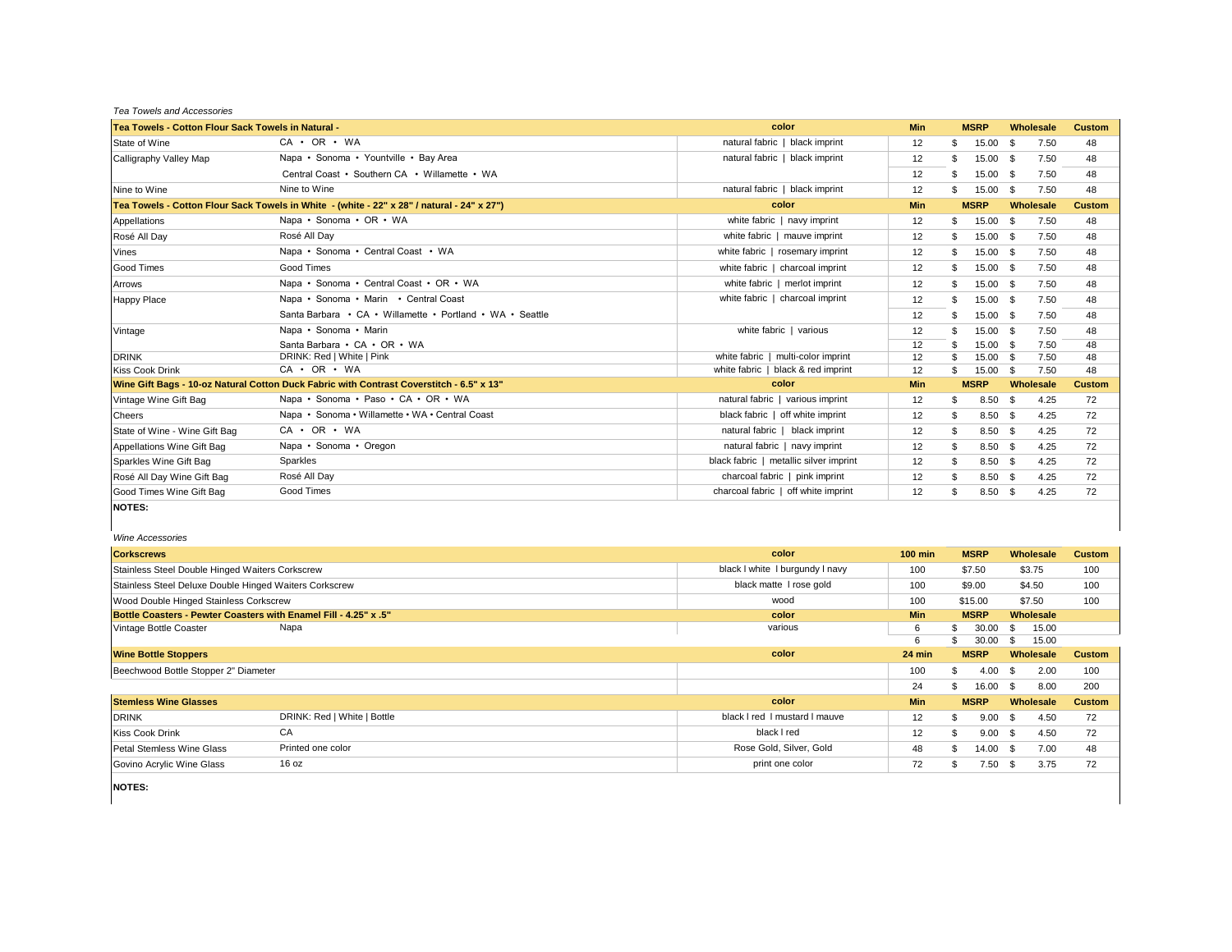*Tea Towels and Accessories*

| Tea Towels - Cotton Flour Sack Towels in Natural - |                                                                                            | color                                  | <b>Min</b> |    | <b>MSRP</b> | Wholesale    | <b>Custom</b> |
|----------------------------------------------------|--------------------------------------------------------------------------------------------|----------------------------------------|------------|----|-------------|--------------|---------------|
| State of Wine                                      | $CA \cdot OR \cdot WA$                                                                     | natural fabric   black imprint         | 12         | S  | 15.00 \$    | 7.50         | 48            |
| Calligraphy Valley Map                             | Napa • Sonoma • Yountville • Bay Area                                                      | natural fabric   black imprint         | 12         | S  | 15.00 \$    | 7.50         | 48            |
|                                                    | Central Coast • Southern CA • Willamette • WA                                              |                                        | 12         |    | 15.00 \$    | 7.50         | 48            |
| Nine to Wine                                       | Nine to Wine                                                                               | natural fabric   black imprint         | 12         |    | $15.00$ \$  | 7.50         | 48            |
|                                                    | Tea Towels - Cotton Flour Sack Towels in White - (white - 22" x 28" / natural - 24" x 27") | color                                  | Min        |    | <b>MSRP</b> | Wholesale    | <b>Custom</b> |
| Appellations                                       | Napa • Sonoma • OR • WA                                                                    | white fabric   navy imprint            | 12         | \$ | 15.00 \$    | 7.50         | 48            |
| Rosé All Day                                       | Rosé All Day                                                                               | white fabric   mauve imprint           | 12         | \$ | 15.00 \$    | 7.50         | 48            |
| Vines                                              | Napa • Sonoma • Central Coast • WA                                                         | white fabric   rosemary imprint        | 12         |    | 15.00 \$    | 7.50         | 48            |
| <b>Good Times</b>                                  | Good Times                                                                                 | white fabric   charcoal imprint        | 12         | \$ | 15.00 \$    | 7.50         | 48            |
| Arrows                                             | Napa • Sonoma • Central Coast • OR • WA                                                    | white fabric   merlot imprint          | 12         |    | 15.00 \$    | 7.50         | 48            |
| <b>Happy Place</b>                                 | Napa • Sonoma • Marin • Central Coast                                                      | white fabric   charcoal imprint        | 12         | \$ | 15.00 \$    | 7.50         | 48            |
|                                                    | Santa Barbara • CA • Willamette • Portland • WA • Seattle                                  |                                        | 12         |    | 15.00 \$    | 7.50         | 48            |
| Vintage                                            | Napa · Sonoma · Marin                                                                      | white fabric   various                 | 12         |    | 15.00 \$    | 7.50         | 48            |
|                                                    | Santa Barbara • CA • OR • WA                                                               |                                        | 12         |    | 15.00 \$    | 7.50         | 48            |
| <b>DRINK</b>                                       | DRINK: Red   White   Pink                                                                  | white fabric   multi-color imprint     | 12         |    | 15.00 \$    | 7.50         | 48            |
| <b>Kiss Cook Drink</b>                             | $CA \cdot OR \cdot WA$                                                                     | white fabric   black & red imprint     | 12         |    | 15.00       | 7.50<br>- \$ | 48            |
|                                                    | Wine Gift Bags - 10-oz Natural Cotton Duck Fabric with Contrast Coverstitch - 6.5" x 13"   | color                                  | Min        |    | <b>MSRP</b> | Wholesale    | <b>Custom</b> |
| Vintage Wine Gift Bag                              | Napa • Sonoma • Paso • CA • OR • WA                                                        | natural fabric   various imprint       | 12         | S  | $8.50$ \$   | 4.25         | 72            |
| Cheers                                             | Napa • Sonoma • Willamette • WA • Central Coast                                            | black fabric   off white imprint       | 12         | S  | $8.50$ \$   | 4.25         | 72            |
| State of Wine - Wine Gift Bag                      | $CA \cdot OR \cdot WA$                                                                     | natural fabric   black imprint         | 12         | S  | $8.50$ \$   | 4.25         | 72            |
| Appellations Wine Gift Bag                         | Napa • Sonoma • Oregon                                                                     | natural fabric   navy imprint          | 12         | S  | $8.50$ \$   | 4.25         | 72            |
| Sparkles Wine Gift Bag                             | Sparkles                                                                                   | black fabric   metallic silver imprint | 12         | S  | $8.50$ \$   | 4.25         | 72            |
| Rosé All Dav Wine Gift Bag                         | Rosé All Day                                                                               | charcoal fabric   pink imprint         | 12         | \$ | $8.50$ \$   | 4.25         | 72            |
| Good Times Wine Gift Bag                           | Good Times                                                                                 | charcoal fabric   off white imprint    | 12         | \$ | $8.50$ \$   | 4.25         | 72            |
| <b>NOTES:</b>                                      |                                                                                            |                                        |            |    |             |              |               |

*Wine Accessories*

| <b>Corkscrews</b>                                                | color                           | $100$ min  | <b>MSRP</b>            | Wholesale        | <b>Custom</b> |
|------------------------------------------------------------------|---------------------------------|------------|------------------------|------------------|---------------|
| Stainless Steel Double Hinged Waiters Corkscrew                  | black I white I burgundy I navy | 100        | \$7.50                 | \$3.75           | 100           |
| Stainless Steel Deluxe Double Hinged Waiters Corkscrew           | black matte I rose gold         | 100        | \$9.00                 | \$4.50           | 100           |
| Wood Double Hinged Stainless Corkscrew                           | wood                            | 100        | \$15.00                | \$7.50           | 100           |
| Bottle Coasters - Pewter Coasters with Enamel Fill - 4.25" x .5" | color                           | <b>Min</b> | <b>MSRP</b>            | Wholesale        |               |
| Vintage Bottle Coaster<br>Napa                                   | various                         | 6          | 30.00<br>\$.           | 15.00<br>- \$    |               |
|                                                                  |                                 | 6          | 30.00                  | 15.00<br>- \$    |               |
| <b>Wine Bottle Stoppers</b>                                      | color                           | 24 min     | <b>MSRP</b>            | Wholesale        | <b>Custom</b> |
| Beechwood Bottle Stopper 2" Diameter                             |                                 | 100        | 4.00<br>\$.            | 2.00<br><b>S</b> | 100           |
|                                                                  |                                 | 24         | 16.00<br>\$.           | - \$<br>8.00     | 200           |
| <b>Stemless Wine Glasses</b>                                     | color                           | <b>Min</b> | <b>MSRP</b>            | Wholesale        | <b>Custom</b> |
| DRINK: Red   White   Bottle<br><b>DRINK</b>                      | black I red I mustard I mauve   | 12         | $9.00 \quad$ \$<br>\$. | 4.50             | 72            |
| CA<br><b>Kiss Cook Drink</b>                                     | black I red                     | 12         | $9.00\quad$ \$<br>\$   | 4.50             | 72            |
| Printed one color<br>Petal Stemless Wine Glass                   | Rose Gold, Silver, Gold         | 48         | $14.00\quad$ \$<br>£.  | 7.00             | 48            |
| 16 oz<br>Govino Acrylic Wine Glass                               | print one color                 | 72         | $7.50$ \$              | 3.75             | 72            |

**NOTES:**